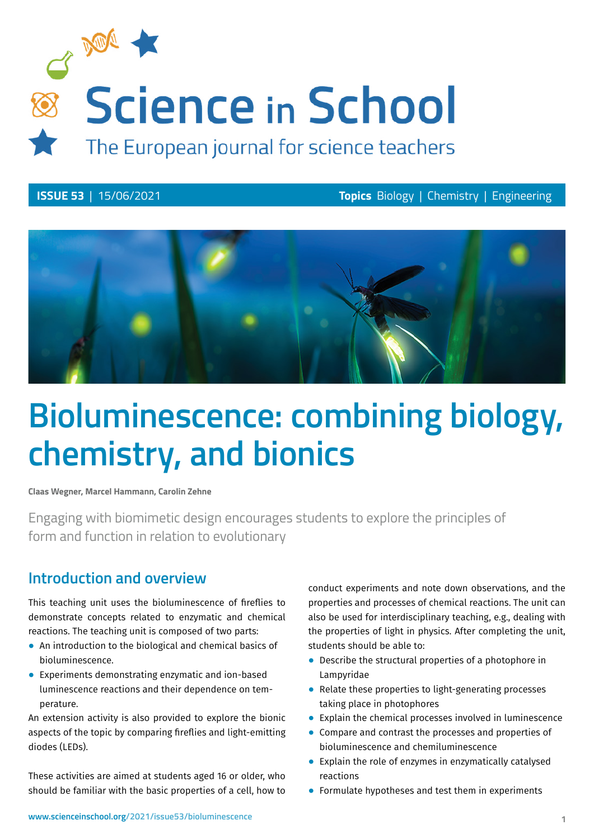

**ISSUE 53** | 15/06/2021 **Topics** Biology | Chemistry | Engineering



# **Bioluminescence: combining biology, chemistry, and bionics**

**Claas Wegner, Marcel Hammann, Carolin Zehne**

Engaging with biomimetic design encourages students to explore the principles of form and function in relation to evolutionary

### **Introduction and overview**

This teaching unit uses the bioluminescence of fireflies to demonstrate concepts related to enzymatic and chemical reactions. The teaching unit is composed of two parts:

- ⦁ An introduction to the biological and chemical basics of bioluminescence.
- ⦁ Experiments demonstrating enzymatic and ion-based luminescence reactions and their dependence on temperature.

An extension activity is also provided to explore the bionic aspects of the topic by comparing fireflies and light-emitting diodes (LEDs).

These activities are aimed at students aged 16 or older, who should be familiar with the basic properties of a cell, how to

conduct experiments and note down observations, and the properties and processes of chemical reactions. The unit can also be used for interdisciplinary teaching, e.g., dealing with the properties of light in physics. After completing the unit, students should be able to:

- ⦁ Describe the structural properties of a photophore in Lampyridae
- ⦁ Relate these properties to light-generating processes taking place in photophores
- ⦁ Explain the chemical processes involved in luminescence
- ⦁ Compare and contrast the processes and properties of bioluminescence and chemiluminescence
- ⦁ Explain the role of enzymes in enzymatically catalysed reactions
- ⦁ Formulate hypotheses and test them in experiments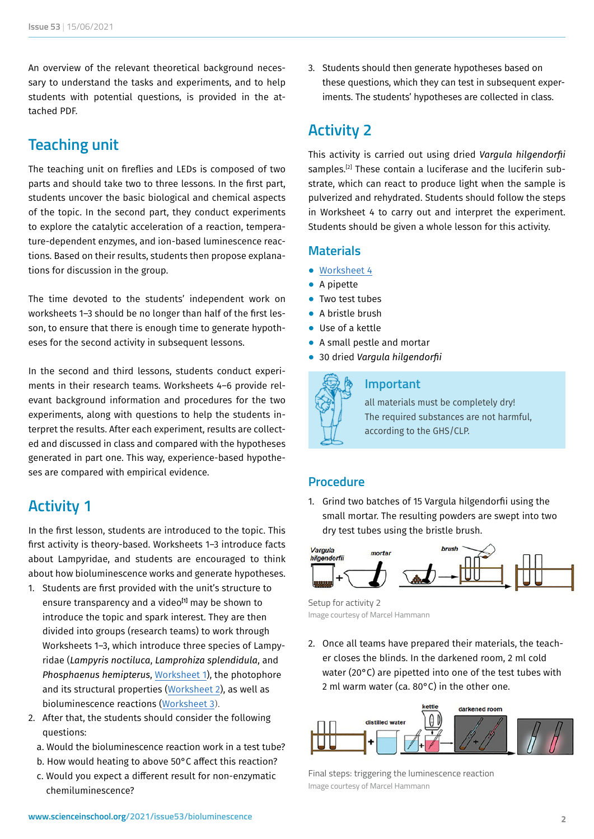An overview of the relevant theoretical background necessary to understand the tasks and experiments, and to help students with potential questions, is provided in the attached PDF.

### **Teaching unit**

The teaching unit on fireflies and LEDs is composed of two parts and should take two to three lessons. In the first part, students uncover the basic biological and chemical aspects of the topic. In the second part, they conduct experiments to explore the catalytic acceleration of a reaction, temperature-dependent enzymes, and ion-based luminescence reactions. Based on their results, students then propose explanations for discussion in the group.

The time devoted to the students' independent work on worksheets 1–3 should be no longer than half of the first lesson, to ensure that there is enough time to generate hypotheses for the second activity in subsequent lessons.

In the second and third lessons, students conduct experiments in their research teams. Worksheets 4–6 provide relevant background information and procedures for the two experiments, along with questions to help the students interpret the results. After each experiment, results are collected and discussed in class and compared with the hypotheses generated in part one. This way, experience-based hypotheses are compared with empirical evidence.

### **Activity 1**

In the first lesson, students are introduced to the topic. This first activity is theory-based. Worksheets 1–3 introduce facts about Lampyridae, and students are encouraged to think about how bioluminescence works and generate hypotheses.

- 1. Students are first provided with the unit's structure to ensure transparency and a video<sup>[1]</sup> may be shown to introduce the topic and spark interest. They are then divided into groups (research teams) to work through Worksheets 1–3, which introduce three species of Lampyridae (*Lampyris noctiluca*, *Lamprohiza splendidula*, and *Phosphaenus hemipterus*, [Worksheet 1](https://www.scienceinschool.org/wp-content/uploads/2021/06/Worksheet-1.pdf)), the photophore and its structural properties [\(Worksheet 2\)](https://www.scienceinschool.org/wp-content/uploads/2021/06/Worksheet-2.pdf), as well as bioluminescence reactions ([Worksheet 3](https://www.scienceinschool.org/wp-content/uploads/2021/06/Worksheet-3.pdf)).
- 2. After that, the students should consider the following questions:
	- a. Would the bioluminescence reaction work in a test tube?
	- b. How would heating to above 50°C affect this reaction?
	- c. Would you expect a different result for non-enzymatic chemiluminescence?

3. Students should then generate hypotheses based on these questions, which they can test in subsequent experiments. The students' hypotheses are collected in class.

### **Activity 2**

This activity is carried out using dried *Vargula hilgendorfii*  samples.<sup>[2]</sup> These contain a luciferase and the luciferin substrate, which can react to produce light when the sample is pulverized and rehydrated. Students should follow the steps in Worksheet 4 to carry out and interpret the experiment. Students should be given a whole lesson for this activity.

#### **Materials**

- ⦁ [Worksheet 4](https://www.scienceinschool.org/wp-content/uploads/2021/06/Worksheet-4.pdf)
- ⦁ A pipette
- ⦁ Two test tubes
- ⦁ A bristle brush
- ⦁ Use of a kettle
- ⦁ A small pestle and mortar
- ⦁ 30 dried *Vargula hilgendorfii*



#### **Important**

all materials must be completely dry! The required substances are not harmful, according to the GHS/CLP.

#### **Procedure**

1. Grind two batches of 15 Vargula hilgendorfii using the small mortar. The resulting powders are swept into two dry test tubes using the bristle brush.



Setup for activity 2 Image courtesy of Marcel Hammann

2. Once all teams have prepared their materials, the teacher closes the blinds. In the darkened room, 2 ml cold water (20°C) are pipetted into one of the test tubes with 2 ml warm water (ca. 80°C) in the other one.



Final steps: triggering the luminescence reaction Image courtesy of Marcel Hammann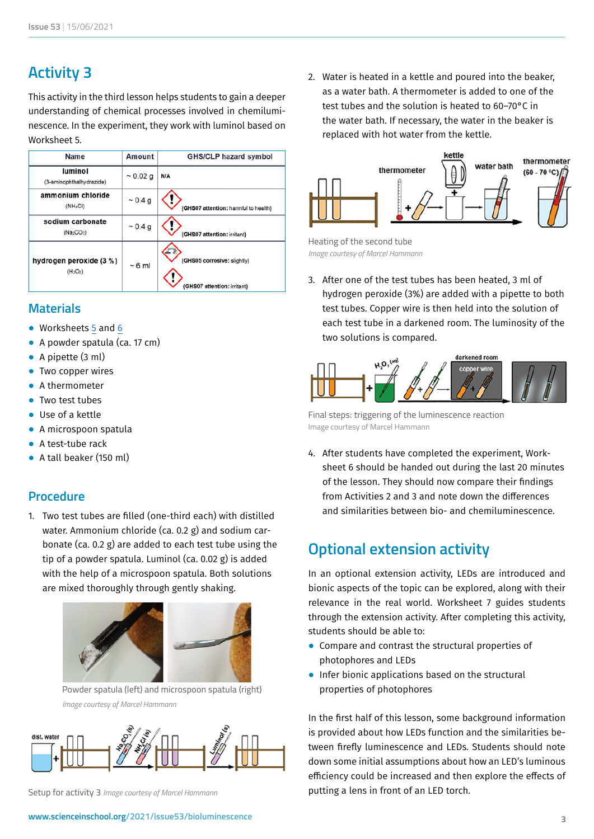## **Activity 3**

This activity in the third lesson helps students to gain a deeper understanding of chemical processes involved in chemiluminescence. In the experiment, they work with luminol based on Worksheet 5.

| Name                                                   | Amount        | <b>GHS/CLP hazard symbol</b>                               |
|--------------------------------------------------------|---------------|------------------------------------------------------------|
| luminol<br>(3-aminophthalhydrazide)                    | $\sim 0.02$ g | N/A                                                        |
| ammonium chloride<br>(NH <sub>4</sub> CI)              | ~0.4 g        | (GHS07 attention: harmful to health)                       |
| sodium carbonate<br>(Na <sub>2</sub> CO <sub>3</sub> ) | $\sim 0.4$ g  | (GHS07 attention: irritant)                                |
| hydrogen peroxide (3 %)<br>$(H_2O_2)$                  | $~5$ ml       | (GHS05 corrosive: slightly)<br>(GHS07 attention: irritant) |

#### **Materials**

- ⦁ Worksheets [5](https://www.scienceinschool.org/wp-content/uploads/2021/06/Worksheet-5.pdf) and [6](https://www.scienceinschool.org/wp-content/uploads/2021/06/Worksheet-6.pdf)
- ⦁ A powder spatula (ca. 17 cm)
- ⦁ A pipette (3 ml)
- Two copper wires
- ⦁ A thermometer
- ⦁ Two test tubes
- Use of a kettle
- ⦁ A microspoon spatula
- ⦁ A test-tube rack
- ⦁ A tall beaker (150 ml)

#### **Procedure**

1. Two test tubes are filled (one-third each) with distilled water. Ammonium chloride (ca. 0.2 g) and sodium carbonate (ca. 0.2 g) are added to each test tube using the tip of a powder spatula. Luminol (ca. 0.02 g) is added with the help of a microspoon spatula. Both solutions are mixed thoroughly through gently shaking.



Powder spatula (left) and microspoon spatula (right) *Image courtesy of Marcel Hammann* 



Setup for activity 3 *Image courtesy of Marcel Hammann*

2. Water is heated in a kettle and poured into the beaker, as a water bath. A thermometer is added to one of the test tubes and the solution is heated to 60–70°C in the water bath. If necessary, the water in the beaker is replaced with hot water from the kettle.



Heating of the second tube *Image courtesy of Marcel Hammann*

3. After one of the test tubes has been heated, 3 ml of hydrogen peroxide (3%) are added with a pipette to both test tubes. Copper wire is then held into the solution of each test tube in a darkened room. The luminosity of the two solutions is compared.



Final steps: triggering of the luminescence reaction Image courtesy of Marcel Hammann

4. After students have completed the experiment, Worksheet 6 should be handed out during the last 20 minutes of the lesson. They should now compare their findings from Activities 2 and 3 and note down the differences and similarities between bio- and chemiluminescence.

### **Optional extension activity**

In an optional extension activity, LEDs are introduced and bionic aspects of the topic can be explored, along with their relevance in the real world. Worksheet 7 guides students through the extension activity. After completing this activity, students should be able to:

- ⦁ Compare and contrast the structural properties of photophores and LEDs
- ⦁ Infer bionic applications based on the structural properties of photophores

In the first half of this lesson, some background information is provided about how LEDs function and the similarities between firefly luminescence and LEDs. Students should note down some initial assumptions about how an LED's luminous efficiency could be increased and then explore the effects of putting a lens in front of an LED torch.